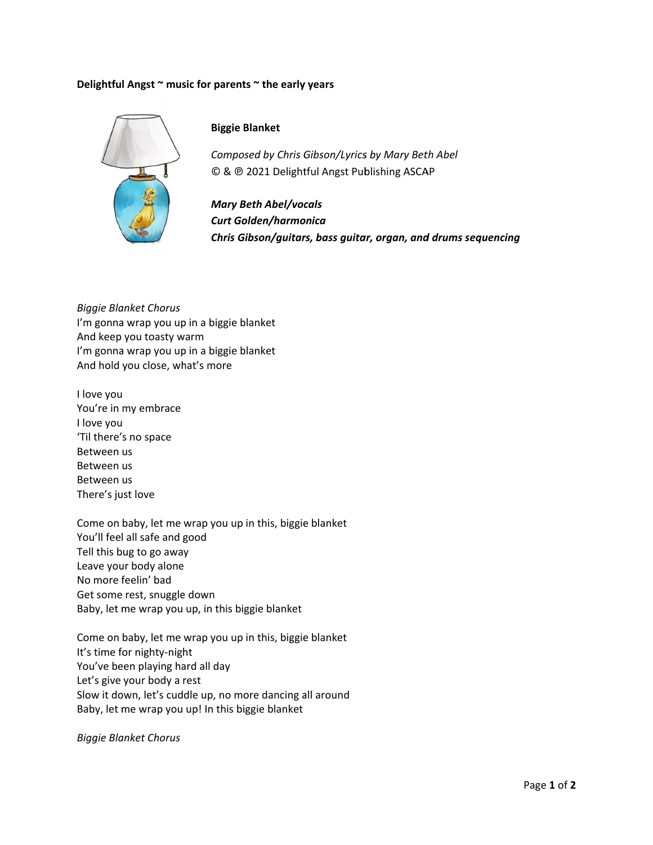## **Delightfu l Angst ~ mus sic for parent ts ~ the early y years**



## **Biggie B Blanket**

*Composed by Chris Gibson/Lyrics by Mary Beth Abel* © & @ 2021 Delightful Angst Publishing ASCAP

*Mary B Beth Abel/voc cals Curt Go olden/harmo onica Chris G Gibson/guitar rs, bass guita ar, organ, and d drums sequ encing*

*Biggie Bla anket Chorus* I'm gonna wrap you up in a biggie blanket And keep you toasty w warm I'm gonna wrap you up in a biggie blanket And hold you close, wh hat's more

I love you You're in my embrace I love you 'Til there' s no space Between us Between us Between us There's just love

Come on baby, let me wrap you up in this, biggie e blanket You'll fee l all safe and good Tell this b ug to go awa y Leave your body alone No more f feelin' bad Leave your body alone<br>No more feelin' bad<br>Get some rest, snuggle down Baby, let m me wrap you up, in this bi ggie blanket

Come on baby, let me wrap you up in this, biggie e blanket It's time f or nighty‐nig ht You've been playing hard all day Let's give your body a rest Slow it down, let's cuddle up, no more dancing all around Baby, let me wrap you up! In this biggie blanket

*Biggie Bla anket Chorus*